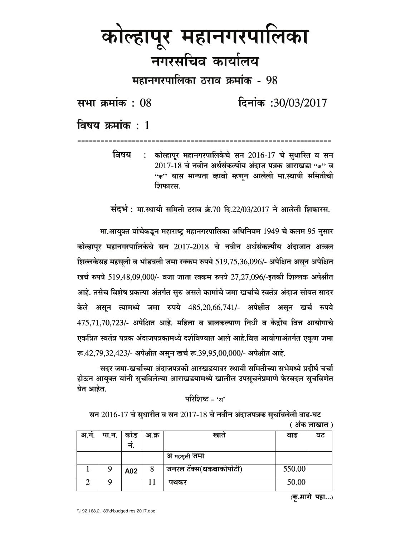## कोल्हापूर महानगरपालिका नगरसचिव कार्यालय

महानगरपालिका ठराव क्रमांक - 98

सभा क्रमांक: 08

दिनांक: 30/03/2017

विषय क्रमांक $\cdot$  1

कोल्हापर महानगरपालिकेचे सन 2016-17 चे सुधारित व सन ਰਿषय  $\cdot$ . 2017-18 चे नवीन अर्थसंकल्पीय अंदाज पत्रक आराखडा "अ" व "क'' यास मान्यता व्हावी म्हणून आलेली मा.स्थायी समितीची शिफारस.

संदर्भ : मा.स्थायी समिती ठराव क्रं.70 दि.22/03/2017 ने आलेली शिफारस.

मा.आयक्त यांचेकडून महाराष्ट्र महानगरपालिका अधिनियम 1949 चे कलम 95 नुसार कोल्हापूर महानगरपालिकेचे सन 2017-2018 चे नवीन अर्थसंकल्पीय अंदाजात अव्वल शिल्लकेसह महसूली व भांडवली जमा रक्कम रुपये 519,75,36,096/- अपेक्षित असून अपेक्षित खर्च रुपये 519,48,09,000/- वजा जाता रक्कम रुपये 27,27,096/-इतकी शिल्लक अपेक्षीत आहे. तसेच विशेष प्रकल्पा अंतर्गत सुरु असले कामांचे जमा खर्चाचे स्वतंत्र अंदाज सोबत सादर केले असून त्यामध्ये जमा रुपये 485,20,66,741/- अपेक्षीत असून खर्च रुपये 475,71,70,723/- अपेक्षित आहे. महिला व बालकल्याण निधी व केंद्रीय वित्त आयोगाचे एकत्रित स्वतंत्र पत्रक अंदाजपत्रकामध्ये दर्शविण्यात आले आहे.वित्त आयोगाअंतर्गत एकूण जमा रू.42,79,32,423/- अपेक्षीत असून खर्च रू.39,95,00,000/- अपेक्षीत आहे.

सदर जमा-खर्चाच्या अंदाजपत्रकी आरखडयावर स्थायी समितीच्या सभेमध्ये प्रदीर्घ चर्चा होऊन आयुक्त यांनी सुचविलेल्या आराखडयामध्ये खालील उपसूचनेप्रमाणे फेरबदल सुचविणेत येत आहेत.

## परिशिष्ट - 'अ'

सन 2016-17 चे सुधारीत व सन 2017-18 चे नवीन अंदाजपत्रक सूचविलेली वाढ-घट ( अंक लाखात )

| <u>अ.नं.</u> | पा.न.   कोड | न.  | अ.क्र | खात                    | वाढ    | घट |
|--------------|-------------|-----|-------|------------------------|--------|----|
|              |             |     |       | अ महसूली <b>जमा</b>    |        |    |
|              | 9           | A02 | 8     | जनरल टॅक्स(थकबाकीपोटी) | 550.00 |    |
|              | Q           |     |       | पथकर                   | 50.00  |    |

(कृ.मागे पहा...)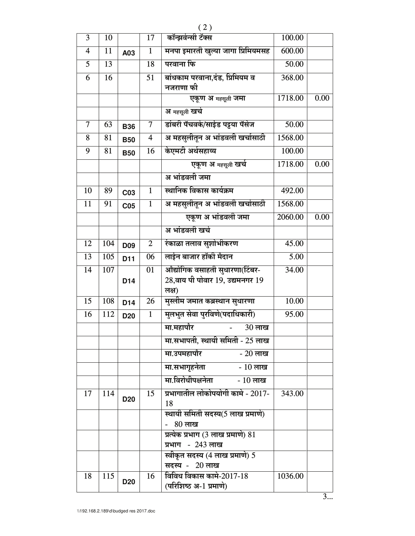| $\overline{3}$           | 10  |                 | 17                      | कॉन्झर्वन्सी टॅक्स                                 | 100.00  |      |
|--------------------------|-----|-----------------|-------------------------|----------------------------------------------------|---------|------|
|                          |     |                 |                         |                                                    |         |      |
| $\overline{\mathcal{A}}$ | 11  | A03             | $\mathbf{1}$            | मनपा इमारती खुल्या जागा प्रिमियमसह                 | 600.00  |      |
| 5                        | 13  |                 | 18                      | परवाना फि                                          | 50.00   |      |
| 6                        | 16  |                 | 51                      | बांधकाम परवाना,दंड, प्रिमियम व<br>नजराणा फी        | 368.00  |      |
|                          |     |                 |                         | एकूण अ महसूली जमा                                  | 1718.00 | 0.00 |
|                          |     |                 |                         | अ महसूली खर्च                                      |         |      |
| $\overline{7}$           | 63  | <b>B36</b>      | $\overline{7}$          | डांबरी पॅचवर्क/साईड पट्टया पॅसेज                   | 50.00   |      |
| 8                        | 81  | <b>B50</b>      | $\overline{\mathbf{4}}$ | अ महसुलीतून अ भांडवली खर्चासाठी                    | 1568.00 |      |
| 9                        | 81  | <b>B50</b>      | 16                      | केएमटी अर्थसहाय्य                                  | 100.00  |      |
|                          |     |                 |                         | एक्रण अ महसूली खर्च                                | 1718.00 | 0.00 |
|                          |     |                 |                         | अ भांडवली जमा                                      |         |      |
| 10                       | 89  | C03             | $\mathbf{1}$            | स्थानिक विकास कार्यक्रम                            | 492.00  |      |
| 11                       | 91  | C <sub>05</sub> | $\mathbf{1}$            | अ महसुलीतून अ भांडवली खर्चासाठी                    | 1568.00 |      |
|                          |     |                 |                         | एकूण अ भांडवली जमा                                 | 2060.00 | 0.00 |
|                          |     |                 |                         | अ भांडवली खर्च                                     |         |      |
| 12                       | 104 | D <sub>09</sub> | $\mathbf{2}$            | रंकाळा तलाव सुशोभीकरण                              | 45.00   |      |
| 13                       | 105 | D11             | 06                      | लाईन बाजार हॉकी मैदान                              | 5.00    |      |
| 14                       | 107 |                 | 01                      | औद्योगिक वसाहती सुधारणा(टिंबर-                     | 34.00   |      |
|                          |     | D14             |                         | 28,वाय पी पोवार 19, उद्यमनगर 19<br>लक्ष)           |         |      |
| 15                       | 108 | D14             | 26                      | मुस्लीम जमात कब्रस्थान सुधारणा                     | 10.00   |      |
| 16                       | 112 | D <sub>20</sub> | $\mathbf{1}$            | मुलभुत सेवा पुरविणे(पदाधिकारी)                     | 95.00   |      |
|                          |     |                 |                         | मा.महापौर<br>30 लाख                                |         |      |
|                          |     |                 |                         | मा.सभापती, स्थायी समिती - 25 लाख                   |         |      |
|                          |     |                 |                         | मा.उपमहापौर<br>$-20$ लाख                           |         |      |
|                          |     |                 |                         | मा.सभागृहनेता<br>- 10 लाख                          |         |      |
|                          |     |                 |                         | मा.विरोधीपक्षनेता - 10 लाख                         |         |      |
| 17                       | 114 | D <sub>20</sub> | 15                      | प्रभागातील लोकोपयोगी कामे - 2017-<br>18            | 343.00  |      |
|                          |     |                 |                         | स्थायी समिती सदस्य(5 लाख प्रमाणे)                  |         |      |
|                          |     |                 |                         | - 80 लाख                                           |         |      |
|                          |     |                 |                         | प्रत्येक प्रभाग (3 लाख प्रमाणे) 81                 |         |      |
|                          |     |                 |                         | प्रभाग - 243 लाख                                   |         |      |
|                          |     |                 |                         | स्वीकृत सदस्य (4 लाख प्रमाणे) 5                    |         |      |
|                          |     |                 |                         | सदस्य - 20 लाख                                     |         |      |
| 18                       | 115 | D <sub>20</sub> | 16                      | विविध विकास कामे-2017-18<br>(परिशिष्ठ अ-1 प्रमाणे) | 1036.00 |      |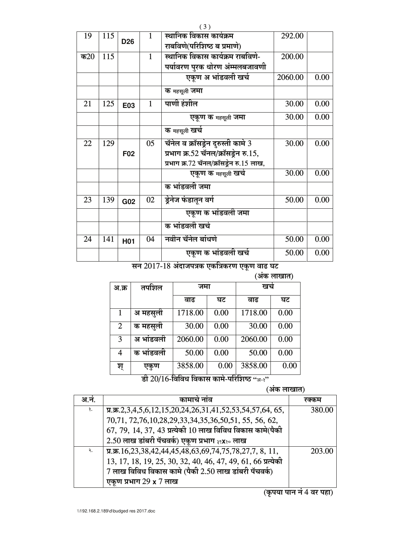|        |     |                 |              | (3)                                                                                                                    |         |      |
|--------|-----|-----------------|--------------|------------------------------------------------------------------------------------------------------------------------|---------|------|
| 19     | 115 | D <sub>26</sub> | 1            | स्थानिक विकास कार्यक्रम<br>राबविणे(परिशिष्ठ ब प्रमाणे)                                                                 | 292.00  |      |
| क $20$ | 115 |                 | $\mathbf{1}$ | स्थानिक विकास कार्यक्रम राबविणे-<br>पर्यावरण पुरक धोरण अंम्मलबजावणी                                                    | 200.00  |      |
|        |     |                 |              | एकण अ भांडवली खर्च                                                                                                     | 2060.00 | 0.00 |
|        |     |                 |              | क महसूली जमा                                                                                                           |         |      |
| 21     | 125 | E03             | 1            | पाणी हंशील                                                                                                             | 30.00   | 0.00 |
|        |     |                 |              | एकूण क <sub>महसूली</sub> जमा                                                                                           | 30.00   | 0.00 |
|        |     |                 |              | क महसूली खर्च                                                                                                          |         |      |
| 22     | 129 | F <sub>02</sub> | 05           | चॅनेल व क्रॉसड्रेन दुरुस्ती कामे 3<br>प्रभाग क्र.52 चॅनल/क्रॉसड्रेन रु.15,<br>प्रभाग क्र.72 चॅनल/क्रॉसड्रेन रु.15 लाख, | 30.00   | 0.00 |
|        |     |                 |              | एकूण क <sub>महसूली</sub> खर्च                                                                                          | 30.00   | 0.00 |
|        |     |                 |              | क भांडवली जमा                                                                                                          |         |      |
| 23     | 139 | G02             | 02           | ड्रेनेज फंडातून वर्ग                                                                                                   | 50.00   | 0.00 |

सन 2017-18 अंदाजपत्रक एकत्रिकरण एकूण वाढ घट

क भांडवली खर्च

नवीन चॅनेल बांधणे

 $04$ 

एकूण क भांडवली जमा

एकूण क भांडवली खर्च

| (अक लाखात) |           |         |      |         |      |  |  |
|------------|-----------|---------|------|---------|------|--|--|
| अ.क्र      | तपशिल     | जमा     |      | खच      |      |  |  |
|            |           | वाढ     | घट   | वाढ     | घट   |  |  |
| 1          | अ महसूली  | 1718.00 | 0.00 | 1718.00 | 0.00 |  |  |
| 2          | क महसूली  | 30.00   | 0.00 | 30.00   | 0.00 |  |  |
| 3          | अ भांडवली | 2060.00 | 0.00 | 2060.00 | 0.00 |  |  |
| 4          | क भांडवली | 50.00   | 0.00 | 50.00   | 0.00 |  |  |
| श्         | एकुण      | 3858.00 | 0.00 | 3858.00 | 0.00 |  |  |

50.00

50.00

 $0.00$ 

 $0.00$ 

डी 20/16-विविध विकास कामे-परिशिष्ठ "अ-?"

(अंक लाखात)

| अ.नं. | कामाच नाव                                                                                       | १०१०१म |
|-------|-------------------------------------------------------------------------------------------------|--------|
| 3.    | $\pi.\pi.2,3,4,5,6,12,15,20,24,26,31,41,52,53,54,57,64,65,$                                     | 380.00 |
|       | 70,71, 72,76,10,28,29,33,34,35,36,50,51, 55, 56, 62,                                            |        |
|       | 67, 79, 14, 37, 43 प्रत्येकी 10 लाख विविध विकास कामे(पैकी                                       |        |
|       | $2.50$ लाख डांबरी पॅचवर्क) एकूण प्रभाग ३९x30 लाख                                                |        |
| २.    | $\overline{x}$ . $\overline{x}$ . 16, 23, 38, 42, 44, 45, 48, 63, 69, 74, 75, 78, 27, 7, 8, 11, | 203.00 |
|       | 13, 17, 18, 19, 25, 30, 32, 40, 46, 47, 49, 61, 66 प्रत्येकी                                    |        |
|       | $7$ लाख विविध विकास कामे (पैकी 2.50 लाख डांबरी पॅचवर्क)                                         |        |
|       | एकूण प्रभाग 29 x 7 लाख                                                                          |        |

 $\overline{q}$ कृपया पान नं 4 वर पहा)

 $\overline{24}$ 

141

H01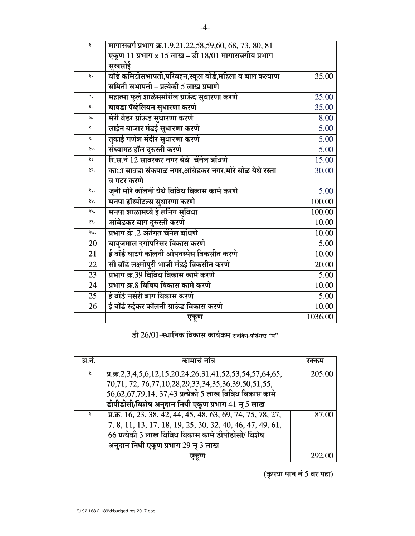| ξ.              | मागासवर्ग प्रभाग क्र.1,9,21,22,58,59,60, 68, 73, 80, 81      |         |
|-----------------|--------------------------------------------------------------|---------|
|                 | एकूण 11 प्रभाग x 15 लाख - डी 18/01 मागासवर्गीय प्रभाग        |         |
|                 | सुखसोई                                                       |         |
| 8.              | वॉर्ड कमिटीसभापती,परिवहन,स्कूल बोर्ड,महिला व बाल कल्याण      | 35.00   |
|                 | समिती सभापती – प्रत्येकी 5 लाख प्रमाणे                       |         |
| Ч.              | महात्मा फुले शाळेसमोरील ग्राऊंद सुधारणा करणे                 | 25.00   |
| ξ.              | बावडा पॅव्हेलियन सुधारणा करणे                                | 35.00   |
| ७.              | मेरी वेडर ग्रांऊड सुधारणा करणे                               | 8.00    |
| ι.              | लाईन बाजार मंडई सुधारणा करणे                                 | 5.00    |
| ś.              | तुकाई गणेश मंदीर सुधारणा करणे                                | 5.00    |
| şο.             | संध्यामठ हॉल दुरुस्ती करणे                                   | 5.00    |
| 88.             | रि.स.नं 12 सावरकर नगर येथे चॅनेल बांधणे                      | 15.00   |
| 85.             | का <b>ा बावडा संकपाळ नगर,आंबेडकर नगर,मोरे बोळ</b> येथे रस्ता | 30.00   |
|                 | व गटर करणे                                                   |         |
| 83.             | जूनी मोरे कॉलनी येथे विविध विकास कामे करणे                   | 5.00    |
| 88.             | मनपा हॉस्पीटल्स सुधारणा करणे                                 | 100.00  |
| 94.             | मनपा शाळामध्ये ई लर्निग सुविधा                               | 100.00  |
| $\xi$ .         | आंबेडकर बाग दुरुस्ती करणे                                    | 10.00   |
| 36.             | प्रभाग क्रं .2 अंर्तगत चॅनेल बांधणे                          | 10.00   |
| 20              | बाबुजमाल दर्गापरिसर विकास करणे                               | 5.00    |
| 21              | ई वॉर्ड घाटगे कॉलनी ओपनस्पेस विकसीत करणे                     | 10.00   |
| 22              | सी वॉर्ड लक्ष्मीपुरी भाजी मंडई विकसीत करणे                   | 20.00   |
| 23              | प्रभाग क्र.39 विविध विकास कामे करणे                          | 5.00    |
| 24              | प्रभाग क्र.8 विविध विकास कामे करणे                           | 10.00   |
| $\overline{25}$ | ई वॉर्ड नर्सरी बाग विकास करणे                                | 5.00    |
| 26              | ई वॉर्ड रुईकर कॉलनी ग्राऊंड विकास करणे                       | 10.00   |
|                 | एकूण                                                         | 1036.00 |
|                 |                                                              |         |

डी 26/01-स्थानिक विकास कार्यक्रम राबविण-परिशिष्ट "ब"

| अ.न. | कामाचे नाव                                                                                                                               | रक्कम  |
|------|------------------------------------------------------------------------------------------------------------------------------------------|--------|
| 3.   | $\pi$ , $\pi$ , $2$ , $3$ , $4$ , $5$ , $6$ , $12$ , $15$ , $20$ , $24$ , $26$ , $31$ , $41$ , $52$ , $53$ , $54$ , $57$ , $64$ , $65$ , | 205.00 |
|      | 70,71, 72, 76,77,10,28,29,33,34,35,36,39,50,51,55,                                                                                       |        |
|      | 56,62,67,79,14, 37,43 प्रत्येकी 5 लाख विविध विकास कामे                                                                                   |        |
|      | डीपीडीसी/विशेष अनुदान निधी एकूण प्रभाग 41 न् 5 लाख                                                                                       |        |
| २.   | प्र.क्र. 16, 23, 38, 42, 44, 45, 48, 63, 69, 74, 75, 78, 27,                                                                             | 87.00  |
|      | 7, 8, 11, 13, 17, 18, 19, 25, 30, 32, 40, 46, 47, 49, 61,                                                                                |        |
|      | 66 प्रत्येकी 3 लाख विविध विकास कामे डीपीडीसी/ विशेष                                                                                      |        |
|      | अनुदान निधी एकूण प्रभाग 29 न् 3 लाख                                                                                                      |        |
|      | ⊍¢∿∪।                                                                                                                                    | 292    |

(कृपया पान नं 5 वर पहा)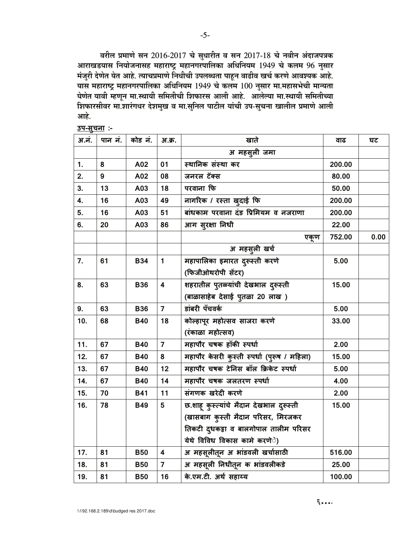वरील प्रमाणे सन 2016-2017 चे सुधारीत व सन 2017-18 चे नवीन अंदाजपत्रक आराखडयास नियोजनासह महाराष्ट्र महानगरपालिका अधिनियम 1949 चे कलम 96 नुसार मंजुरी देणेत येत आहे. त्याचप्रमाणे निधीची उपलब्धता पाहून वाढीव खर्च करणे आवश्यक आहे. यास महाराष्ट्र महानगरपालिका अधिनियम 1949 चे कलम 100 नुसार मा.महासभेची मान्यता घेणेत यावी म्हणून मा.स्थायी समितीची शिफारस आली आहे. आलेल्या मा.स्थायी समितीच्या शिफारसीवर मा.शारंगधर देशमुख व मा.सुनिल पाटील यांची उप-सुचना खालील प्रमाणे आली आहे.

| अ.नं. | पान नं.          | कोड नं.    | अ.क्र.                  | खाते                                        | वाढ    | घट   |
|-------|------------------|------------|-------------------------|---------------------------------------------|--------|------|
|       |                  |            |                         | अ महसूली जमा                                |        |      |
| 1.    | 8                | A02        | 01                      | स्थानिक संस्था कर                           | 200.00 |      |
| 2.    | $\boldsymbol{9}$ | A02        | 08                      | जनरल टॅक्स                                  | 80.00  |      |
| 3.    | 13               | A03        | 18                      | परवाना फि                                   | 50.00  |      |
| 4.    | 16               | A03        | 49                      | नागरिक / रस्ता खुदाई फि                     | 200.00 |      |
| 5.    | 16               | A03        | 51                      | बांधकाम परवाना दंड प्रिमियम व नजराणा        | 200.00 |      |
| 6.    | 20               | A03        | 86                      | आग सुरक्षा निधी                             | 22.00  |      |
|       |                  |            |                         | एकण                                         | 752.00 | 0.00 |
|       |                  |            |                         | अ महसूली खर्च                               |        |      |
| 7.    | 61               | <b>B34</b> | $\mathbf{1}$            | महापालिका इमारत दुरूस्ती करणे               | 5.00   |      |
|       |                  |            |                         | (फिजीओथरोपी सेंटर)                          |        |      |
| 8.    | 63               | <b>B36</b> | $\overline{\mathbf{4}}$ | शहरातील पुतळ्यांची देखभाल दुरूस्ती          | 15.00  |      |
|       |                  |            |                         | (बाळासाहेब देसाई पुतळा 20 लाख)              |        |      |
| 9.    | 63               | <b>B36</b> | $\overline{7}$          | डांबरी पॅचवर्क                              | 5.00   |      |
| 10.   | 68               | <b>B40</b> | 18                      | कोल्हापूर महोत्सव साजरा करणे                | 33.00  |      |
|       |                  |            |                         | (रंकाळा महोत्सव)                            |        |      |
| 11.   | 67               | <b>B40</b> | $\overline{7}$          | महापौर चषक हॉकी स्पर्धा                     | 2.00   |      |
| 12.   | 67               | <b>B40</b> | 8                       | महापौर केसरी कुस्ती स्पर्धा (पुरूष / महिला) | 15.00  |      |
| 13.   | 67               | <b>B40</b> | 12                      | महापौर चषक टेनिस बॉल क्रिकेट स्पर्धा        | 5.00   |      |
| 14.   | 67               | <b>B40</b> | 14                      | महापौर चषक जलतरण स्पर्धा                    | 4.00   |      |
| 15.   | 70               | <b>B41</b> | 11                      | संगणक खरेदी करणे                            | 2.00   |      |
| 16.   | 78               | <b>B49</b> | 5                       | छ.शाहू कुस्त्यांचे मैदान देखभाल दुरूस्ती    | 15.00  |      |
|       |                  |            |                         | (खासबाग कुस्ती मैदान परिसर, मिरजकर          |        |      |
|       |                  |            |                         | तिकटी दुधकट्टा व बालगोपाल तालीम परिसर       |        |      |
|       |                  |            |                         | येथे विविध विकास कामे करणे <b>े</b> )       |        |      |
| 17.   | 81               | <b>B50</b> | 4                       | अ महसूलीतून अ भांडवली खर्चासाठी             | 516.00 |      |
| 18.   | 81               | <b>B50</b> | $\overline{\mathbf{z}}$ | अ महसूली निधीतून क भांडवलीकडे               | 25.00  |      |
| 19.   | 81               | <b>B50</b> | 16                      | के.एम.टी. अर्थ सहाय्य                       | 100.00 |      |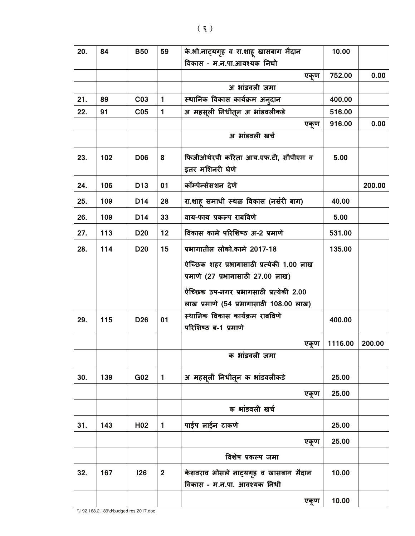| 20. | 84  | <b>B50</b>      | 59             | के.भो.नाट्यगृह व रा.शाहू खासबाग मैदान     | 10.00   |        |
|-----|-----|-----------------|----------------|-------------------------------------------|---------|--------|
|     |     |                 |                | विकास - म.न.पा.आवश्यक निधी                |         |        |
|     |     |                 |                | एकूण                                      | 752.00  | 0.00   |
|     |     |                 |                | अ भांडवली जमा                             |         |        |
| 21. | 89  | C <sub>03</sub> | $\mathbf{1}$   | स्थानिक विकास कार्यक्रम अन् <b>दान</b>    | 400.00  |        |
| 22. | 91  | C <sub>05</sub> | $\mathbf{1}$   | अ महसूली निधीतून अ भांडवलीकडे             | 516.00  |        |
|     |     |                 |                | एकृण                                      | 916.00  | 0.00   |
|     |     |                 |                | अ भांडवली खर्च                            |         |        |
| 23. | 102 | <b>D06</b>      | 8              | फिजीओथेरपी करिता आय.एफ.टी, सीपीएम व       | 5.00    |        |
|     |     |                 |                | इतर मशिनरी घेणे                           |         |        |
| 24. | 106 | D <sub>13</sub> | 01             | कॉम्पेन्सेसशन देणे                        |         | 200.00 |
| 25. | 109 | D <sub>14</sub> | 28             | रा.शाह समाधी स्थळ विकास (नर्सरी बाग)      | 40.00   |        |
| 26. | 109 | D14             | 33             | वाय-फाय प्रकल्प राबविणे                   | 5.00    |        |
| 27. | 113 | <b>D20</b>      | 12             | विकास कामे परिशिष्ठ अ-2 प्रमाणे           | 531.00  |        |
| 28. | 114 | D <sub>20</sub> | 15             | प्रभागातील लोको.कामे 2017-18              | 135.00  |        |
|     |     |                 |                | ऐच्छिक शहर प्रभागासाठी प्रत्येकी 1.00 लाख |         |        |
|     |     |                 |                | प्रमाणे (27 प्रभागासाठी 27.00 लाख)        |         |        |
|     |     |                 |                | ऐच्छिक उप-नगर प्रभागसाठी प्रत्येकी 2.00   |         |        |
|     |     |                 |                | लाख प्रमाणे (54 प्रभागासाठी 108.00 लाख)   |         |        |
| 29. | 115 | D <sub>26</sub> | 01             | स्थानिक विकास कार्यक्रम राबविणे           | 400.00  |        |
|     |     |                 |                | परिशिष्ठ ब-1 प्रमाणे                      |         |        |
|     |     |                 |                | एकृण                                      | 1116.00 | 200.00 |
|     |     |                 |                | क भांडवली जमा                             |         |        |
| 30. | 139 | G02             | $\mathbf{1}$   | अ महसूली निधीतून क भांडवलीकडे             | 25.00   |        |
|     |     |                 |                | एकूण                                      | 25.00   |        |
|     |     |                 |                | क भांडवली खर्च                            |         |        |
| 31. | 143 | H <sub>02</sub> | $\mathbf{1}$   | पाईप लाईन टाकणे                           | 25.00   |        |
|     |     |                 |                | एकण                                       | 25.00   |        |
|     |     |                 |                | विशेष प्रकल्प जमा                         |         |        |
| 32. | 167 | 126             | $\overline{2}$ | केशवराव भोसले नाट्यगृह व खासबाग मैदान     | 10.00   |        |
|     |     |                 |                | विकास - म.न.पा. आवश्यक निधी               |         |        |
|     |     |                 |                | एकूण                                      | 10.00   |        |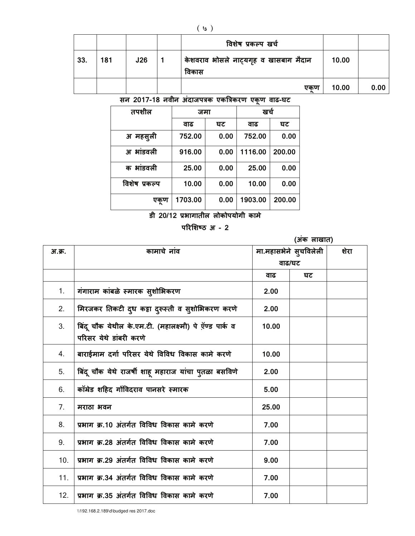|     |     |     | विशेष प्रकल्प खर्च                             |       |      |
|-----|-----|-----|------------------------------------------------|-------|------|
| 33. | 181 | J26 | केशवराव भोसले नाट्यगृह व खासबाग मैदान<br>विकास | 10.00 |      |
|     |     |     | एकूण                                           | 10.00 | 0.00 |

सन 2017-18 नवीन अंदाजपत्रक एकत्रिकरण एकूण वाढ-घट

| तपशील         | जमा     |      | खर्च    |        |
|---------------|---------|------|---------|--------|
|               | वाढ     | घट   | वाढ     | घट     |
| अ महसूली      | 752.00  | 0.00 | 752.00  | 0.00   |
| अ भांडवली     | 916.00  | 0.00 | 1116.00 | 200.00 |
| क भांडवली     | 25.00   | 0.00 | 25.00   | 0.00   |
| विशेष प्रकल्प | 10.00   | 0.00 | 10.00   | 0.00   |
| एकूण          | 1703.00 | 0.00 | 1903.00 | 200.00 |

डी 20/12 प्रभागातील लोकोपयोगी कामे

परिशिष्ठ अ - 2

|        | (अंक लाखात)                                                                      |                       |    |      |
|--------|----------------------------------------------------------------------------------|-----------------------|----|------|
| अ.क्र. | कामाचे नांव                                                                      | मा.महासभेने सुचविलेली |    | शेरा |
|        |                                                                                  | वाढ/घट                |    |      |
|        |                                                                                  | वाढ                   | घट |      |
| 1.     | गंगाराम कांबळे स्मारक सुशोभिकरण                                                  | 2.00                  |    |      |
| 2.     | मिरजकर तिकटी दुध कट्टा दुरूस्ती व सुशोभिकरण करणे                                 | 2.00                  |    |      |
| 3.     | बिंदू चौक येथील के.एम.टी. (महालक्ष्मी) पे ऍण्ड पार्क व<br>परिसर येथे डांबरी करणे | 10.00                 |    |      |
| 4.     | बाराईमाम दर्गा परिसर येथे विविध विकास कामे करणे                                  | 10.00                 |    |      |
| 5.     | बिंदू चौक येथे राजर्षी शाहू महाराज यांचा पुतळा बसविणे                            | 2.00                  |    |      |
| 6.     | कॉमेड शहिद गोंविदराव पानसरे स्मारक                                               | 5.00                  |    |      |
| 7.     | मराठा भवन                                                                        | 25.00                 |    |      |
| 8.     | प्रभाग क्र.10 अंतर्गत विविध विकास कामे करणे                                      | 7.00                  |    |      |
| 9.     | प्रभाग क्र.28 अंतर्गत विविध विकास कामे करणे                                      | 7.00                  |    |      |
| 10.    | प्रभाग क्र.29 अंतर्गत विविध विकास कामे करणे                                      | 9.00                  |    |      |
| 11.    | प्रभाग क्र.34 अंतर्गत विविध विकास कामे करणे                                      | 7.00                  |    |      |
| 12.    | प्रभाग क्र.35 अंतर्गत विविध विकास कामे करणे                                      | 7.00                  |    |      |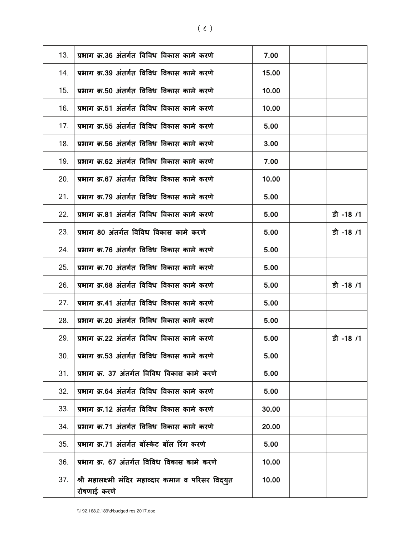| 13. | प्रभाग क्र.36 अंतर्गत विविध विकास कामे करणे                        | 7.00  |           |
|-----|--------------------------------------------------------------------|-------|-----------|
| 14. | प्रभाग क्र.39 अंतर्गत विविध विकास कामे करणे                        | 15.00 |           |
| 15. | प्रभाग क्र.50 अंतर्गत विविध विकास कामे करणे                        | 10.00 |           |
| 16. | प्रभाग क्र.51 अंतर्गत विविध विकास कामे करणे                        | 10.00 |           |
| 17. | प्रभाग क्र.55 अंतर्गत विविध विकास कामे करणे                        | 5.00  |           |
| 18. | प्रभाग क्र.56 अंतर्गत विविध विकास कामे करणे                        | 3.00  |           |
| 19. | प्रभाग क्र.62 अंतर्गत विविध विकास कामे करणे                        | 7.00  |           |
| 20. | प्रभाग क्र.67 अंतर्गत विविध विकास कामे करणे                        | 10.00 |           |
| 21. | प्रभाग क्र.79 अंतर्गत विविध विकास कामे करणे                        | 5.00  |           |
| 22. | प्रभाग क्र.81 अंतर्गत विविध विकास कामे करणे                        | 5.00  | डी -18 /1 |
| 23. | प्रभाग 80 अंतर्गत विविध विकास कामे करणे                            | 5.00  | डी -18 /1 |
| 24. | प्रभाग क्र.76 अंतर्गत विविध विकास कामे करणे                        | 5.00  |           |
| 25. | प्रभाग क्र.70 अंतर्गत विविध विकास कामे करणे                        | 5.00  |           |
| 26. | प्रभाग क्र.68 अंतर्गत विविध विकास कामे करणे                        | 5.00  | डी -18 /1 |
| 27. | प्रभाग क्र.41 अंतर्गत विविध विकास कामे करणे                        | 5.00  |           |
| 28. | प्रभाग क्र.20 अंतर्गत विविध विकास कामे करणे                        | 5.00  |           |
| 29. | प्रभाग क्र.22 अंतर्गत विविध विकास कामे करणे                        | 5.00  | डी -18 /1 |
| 30. | प्रभाग क्र.53 अंतर्गत विविध विकास कामे करणे                        | 5.00  |           |
| 31. | प्रभाग क्र. 37 अंतर्गत विविध विकास कामे करणे                       | 5.00  |           |
| 32. | प्रभाग क्र.64 अंतर्गत विविध विकास कामे करणे                        | 5.00  |           |
| 33. | प्रभाग क्र.12 अंतर्गत विविध विकास कामे करणे                        | 30.00 |           |
| 34. | प्रभाग क्र.71 अंतर्गत विविध विकास कामे करणे                        | 20.00 |           |
| 35. | प्रभाग क्र.71 अंतर्गत बॉस्केट बॉल रिंग करणे                        | 5.00  |           |
| 36. | प्रभाग क्र. 67 अंतर्गत विविध विकास कामे करणे                       | 10.00 |           |
| 37. | श्री महालक्ष्मी मंदिर महाव्दार कमान व परिसर विद्युत<br>रोषणाई करणे | 10.00 |           |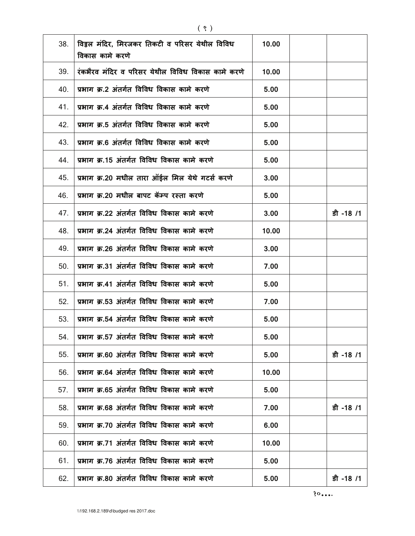| 38. | विठ्ठल मंदिर, मिरजकर तिकटी व परिसर येथील विविध<br>विकास कामे करणे | 10.00 |           |
|-----|-------------------------------------------------------------------|-------|-----------|
| 39. | रंकभैरव मंदिर व परिसर येथील विविध विकास कामे करणे                 |       |           |
| 40. | प्रभाग क्र.2 अंतर्गत विविध विकास कामे करणे                        | 5.00  |           |
| 41. | प्रभाग क्र.4 अंतर्गत विविध विकास कामे करणे                        | 5.00  |           |
| 42. | प्रभाग क्र.5 अंतर्गत विविध विकास कामे करणे                        | 5.00  |           |
| 43. | प्रभाग क्र.6 अंतर्गत विविध विकास कामे करणे                        | 5.00  |           |
| 44. | प्रभाग क्र.15 अंतर्गत विविध विकास कामे करणे                       | 5.00  |           |
| 45. | प्रभाग क्र.20 मधील तारा ऑईल मिल येथे गटर्स करणे                   | 3.00  |           |
| 46. | प्रभाग क्र.20 मधील बापट कॅम्प रस्ता करणे                          | 5.00  |           |
| 47. | प्रभाग क्र.22 अंतर्गत विविध विकास कामे करणे                       | 3.00  | डी -18 /1 |
| 48. | प्रभाग क्र.24 अंतर्गत विविध विकास कामे करणे                       | 10.00 |           |
| 49. | प्रभाग क्र.26 अंतर्गत विविध विकास कामे करणे                       | 3.00  |           |
| 50. | प्रभाग क्र.31 अंतर्गत विविध विकास कामे करणे                       | 7.00  |           |
| 51. | प्रभाग क्र.41 अंतर्गत विविध विकास कामे करणे                       | 5.00  |           |
| 52. | प्रभाग क्र.53 अंतर्गत विविध विकास कामे करणे                       | 7.00  |           |
| 53. | प्रभाग क्र.54 अंतर्गत विविध विकास कामे करणे                       | 5.00  |           |
| 54. | प्रभाग क्र.57 अंतर्गत विविध विकास कामे करणे                       | 5.00  |           |
| 55. | प्रभाग क्र.60 अंतर्गत विविध विकास कामे करणे                       | 5.00  | डी -18 /1 |
| 56. | प्रभाग क्र.64 अंतर्गत विविध विकास कामे करणे                       | 10.00 |           |
| 57. | प्रभाग क्र.65 अंतर्गत विविध विकास कामे करणे                       | 5.00  |           |
| 58. | प्रभाग क्र.68 अंतर्गत विविध विकास कामे करणे                       | 7.00  | डी -18 /1 |
| 59. | प्रभाग क्र.70 अंतर्गत विविध विकास कामे करणे                       | 6.00  |           |
| 60. | प्रभाग क्र.71 अंतर्गत विविध विकास कामे करणे                       | 10.00 |           |
| 61. | प्रभाग क्र.76 अंतर्गत विविध विकास कामे करणे                       | 5.00  |           |
| 62. | प्रभाग क्र.80 अंतर्गत विविध विकास कामे करणे                       | 5.00  | डी -18 /1 |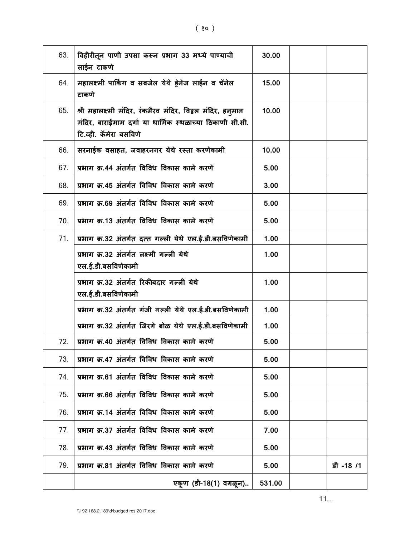| 63. | विहीरीतून पाणी उपसा करून प्रभाग 33 मध्ये पाण्याची<br>लाईन टाकणे                                                                                          | 30.00  |           |
|-----|----------------------------------------------------------------------------------------------------------------------------------------------------------|--------|-----------|
| 64. | महालक्ष्मी पार्किंग व सबजेल येथे ड़ेनेज लाईन व चॅनेल<br>टाकणे                                                                                            | 15.00  |           |
| 65. | श्री महालक्ष्मी मंदिर, रंकभैरव मंदिर, विठ्ठल मंदिर, हन् <b>मान</b><br>मंदिर, बाराईमाम दर्गा या धार्मिक स्थळाच्या ठिकाणी सी.सी.<br>टि.व्ही. कॅमेरा बसविणे | 10.00  |           |
| 66. | सरनाईक वसाहत, जवाहरनगर येथे रस्ता करणेकामी                                                                                                               | 10.00  |           |
| 67. | प्रभाग क्र.44 अंतर्गत विविध विकास कामे करणे                                                                                                              | 5.00   |           |
| 68. | प्रभाग क्र.45 अंतर्गत विविध विकास कामे करणे                                                                                                              | 3.00   |           |
| 69. | प्रभाग क्र.69 अंतर्गत विविध विकास कामे करणे                                                                                                              | 5.00   |           |
| 70. | प्रभाग क्र.13 अंतर्गत विविध विकास कामे करणे                                                                                                              | 5.00   |           |
| 71. | प्रभाग क्र.32 अंतर्गत दत्त गल्ली येथे एल.ई.डी.बसविणेकामी                                                                                                 | 1.00   |           |
|     | प्रभाग क्र.32 अंतर्गत लक्ष्मी गल्ली येथे<br>एल.ई.डी.बसविणेकामी                                                                                           | 1.00   |           |
|     | प्रभाग क्र.32 अंतर्गत रिकीबदार गल्ली येथे<br>एल.ई.डी.बसविणेकामी                                                                                          | 1.00   |           |
|     | प्रभाग क्र.32 अंतर्गत गंजी गल्ली येथे एल.ई.डी.बसविणेकामी                                                                                                 | 1.00   |           |
|     | प्रभाग क्र.32 अंतर्गत जिरगे बोळ येथे एल.ई.डी.बसविणेकामी                                                                                                  | 1.00   |           |
| 72. | प्रभाग क्र.40 अंतर्गत विविध विकास कामे करणे                                                                                                              | 5.00   |           |
| 73. | प्रभाग क्र.47 अंतर्गत विविध विकास कामे करणे                                                                                                              | 5.00   |           |
| 74. | प्रभाग क्र.61 अंतर्गत विविध विकास कामे करणे                                                                                                              | 5.00   |           |
| 75. | प्रभाग क्र.66 अंतर्गत विविध विकास कामे करणे                                                                                                              | 5.00   |           |
| 76. | प्रभाग क्र.14 अंतर्गत विविध विकास कामे करणे                                                                                                              | 5.00   |           |
| 77. | प्रभाग क्र.37 अंतर्गत विविध विकास कामे करणे                                                                                                              | 7.00   |           |
| 78. | प्रभाग क्र.43 अंतर्गत विविध विकास कामे करणे                                                                                                              | 5.00   |           |
| 79. | प्रभाग क्र.81 अंतर्गत विविध विकास कामे करणे                                                                                                              | 5.00   | डी -18 /1 |
|     | एकूण (डी-18(1) वगळून)                                                                                                                                    | 531.00 |           |

11....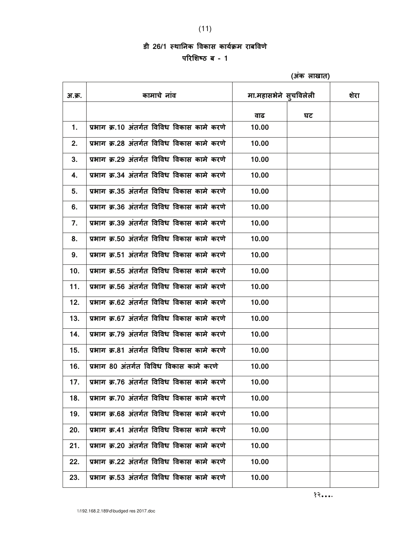## डी 26/1 स्थानिक विकास कार्यक्रम राबविणे

परिशिष्ठ ब $-1$ 

|        |                                             | (अंक लाखात)           |    |      |
|--------|---------------------------------------------|-----------------------|----|------|
| अ.क्र. | कामाचे नांव                                 | मा.महासभेने स्चविलेली |    | शेरा |
|        |                                             | वाढ                   | घट |      |
| 1.     | प्रभाग क्र.10 अंतर्गत विविध विकास कामे करणे | 10.00                 |    |      |
| 2.     | प्रभाग क्र.28 अंतर्गत विविध विकास कामे करणे | 10.00                 |    |      |
| 3.     | प्रभाग क्र.29 अंतर्गत विविध विकास कामे करणे | 10.00                 |    |      |
| 4.     | प्रभाग क्र.34 अंतर्गत विविध विकास कामे करणे | 10.00                 |    |      |
| 5.     | प्रभाग क्र.35 अंतर्गत विविध विकास कामे करणे | 10.00                 |    |      |
| 6.     | प्रभाग क्र.36 अंतर्गत विविध विकास कामे करणे | 10.00                 |    |      |
| 7.     | प्रभाग क्र.39 अंतर्गत विविध विकास कामे करणे | 10.00                 |    |      |
| 8.     | प्रभाग क्र.50 अंतर्गत विविध विकास कामे करणे | 10.00                 |    |      |
| 9.     | प्रभाग क्र.51 अंतर्गत विविध विकास कामे करणे | 10.00                 |    |      |
| 10.    | प्रभाग क्र.55 अंतर्गत विविध विकास कामे करणे | 10.00                 |    |      |
| 11.    | प्रभाग क्र.56 अंतर्गत विविध विकास कामे करणे | 10.00                 |    |      |
| 12.    | प्रभाग क्र.62 अंतर्गत विविध विकास कामे करणे | 10.00                 |    |      |
| 13.    | प्रभाग क्र.67 अंतर्गत विविध विकास कामे करणे | 10.00                 |    |      |
| 14.    | प्रभाग क्र.79 अंतर्गत विविध विकास कामे करणे | 10.00                 |    |      |
| 15.    | प्रभाग क्र.81 अंतर्गत विविध विकास कामे करणे | 10.00                 |    |      |
| 16.    | प्रभाग 80 अंतर्गत विविध विकास कामे करणे     | 10.00                 |    |      |
| 17.    | प्रभाग क्र.76 अंतर्गत विविध विकास कामे करणे | 10.00                 |    |      |
| 18.    | प्रभाग क.70 अंतर्गत विविध विकास कामे करणे   | 10.00                 |    |      |
| 19.    | प्रभाग क्र.68 अंतर्गत विविध विकास कामे करणे | 10.00                 |    |      |
| 20.    | प्रभाग क्र.41 अंतर्गत विविध विकास कामे करणे | 10.00                 |    |      |
| 21.    | प्रभाग क्र.20 अंतर्गत विविध विकास कामे करणे | 10.00                 |    |      |
| 22.    | प्रभाग क्र.22 अंतर्गत विविध विकास कामे करणे | 10.00                 |    |      |
| 23.    | प्रभाग क्र.53 अंतर्गत विविध विकास कामे करणे | 10.00                 |    |      |

(अंक लाखात)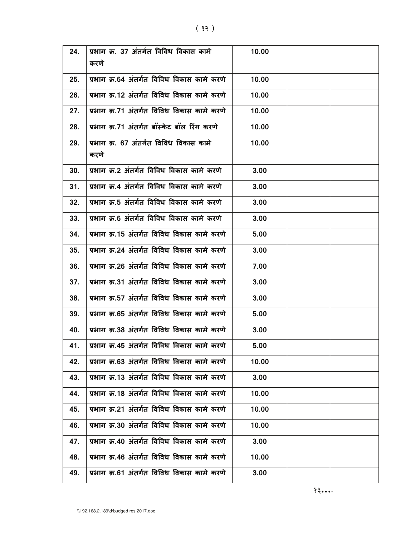| 24. | प्रभाग क्र. 37 अंतर्गत विविध विकास कामे<br>करणे | 10.00 |  |
|-----|-------------------------------------------------|-------|--|
| 25. | प्रभाग क्र.64 अंतर्गत विविध विकास कामे करणे     | 10.00 |  |
| 26. | प्रभाग क्र.12 अंतर्गत विविध विकास कामे करणे     | 10.00 |  |
| 27. | प्रभाग क्र.71 अंतर्गत विविध विकास कामे करणे     | 10.00 |  |
| 28. | प्रभाग क्र.71 अंतर्गत बॉस्केट बॉल रिंग करणे     | 10.00 |  |
| 29. | प्रभाग क्र. 67 अंतर्गत विविध विकास कामे<br>करणे | 10.00 |  |
| 30. | प्रभाग क्र.2 अंतर्गत विविध विकास कामे करणे      | 3.00  |  |
| 31. | प्रभाग क्र.4 अंतर्गत विविध विकास कामे करणे      | 3.00  |  |
| 32. | प्रभाग क्र.5 अंतर्गत विविध विकास कामे करणे      | 3.00  |  |
| 33. | प्रभाग क्र.6 अंतर्गत विविध विकास कामे करणे      | 3.00  |  |
| 34. | प्रभाग क्र.15 अंतर्गत विविध विकास कामे करणे     | 5.00  |  |
| 35. | प्रभाग क्र.24 अंतर्गत विविध विकास कामे करणे     | 3.00  |  |
| 36. | प्रभाग क्र.26 अंतर्गत विविध विकास कामे करणे     | 7.00  |  |
| 37. | प्रभाग क्र.31 अंतर्गत विविध विकास कामे करणे     | 3.00  |  |
| 38. | प्रभाग क्र.57 अंतर्गत विविध विकास कामे करणे     | 3.00  |  |
| 39. | प्रभाग क्र.65 अंतर्गत विविध विकास कामे करणे     | 5.00  |  |
| 40. | प्रभाग क्र.38 अंतर्गत विविध विकास कामे करणे     | 3.00  |  |
| 41. | प्रभाग क्र.45 अंतर्गत विविध विकास कामे करणे     | 5.00  |  |
| 42. | प्रभाग क्र.63 अंतर्गत विविध विकास कामे करणे     | 10.00 |  |
| 43. | प्रभाग क्र.13 अंतर्गत विविध विकास कामे करणे     | 3.00  |  |
| 44. | प्रभाग क्र.18 अंतर्गत विविध विकास कामे करणे     | 10.00 |  |
| 45. | प्रभाग क्र.21 अंतर्गत विविध विकास कामे करणे     | 10.00 |  |
| 46. | प्रभाग क्र.30 अंतर्गत विविध विकास कामे करणे     | 10.00 |  |
| 47. | प्रभाग क्र.40 अंतर्गत विविध विकास कामे करणे     | 3.00  |  |
| 48. | प्रभाग क्र.46 अंतर्गत विविध विकास कामे करणे     | 10.00 |  |
| 49. | प्रभाग क्र.61 अंतर्गत विविध विकास कामे करणे     | 3.00  |  |